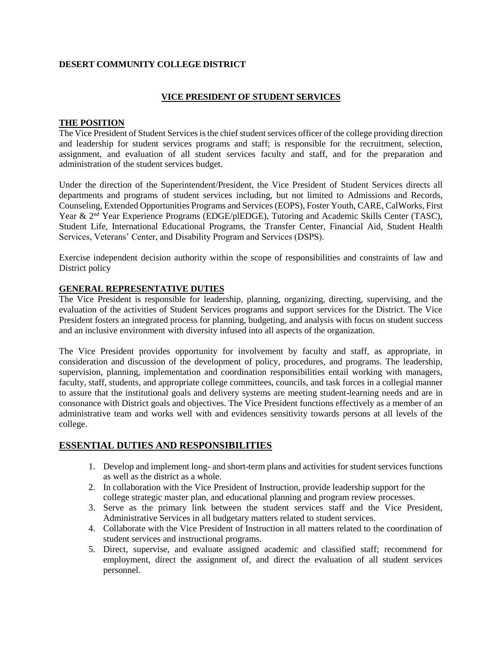### **DESERT COMMUNITY COLLEGE DISTRICT**

### **VICE PRESIDENT OF STUDENT SERVICES**

#### **THE POSITION**

The Vice President of Student Services is the chief student services officer of the college providing direction and leadership for student services programs and staff; is responsible for the recruitment, selection, assignment, and evaluation of all student services faculty and staff, and for the preparation and administration of the student services budget.

Under the direction of the Superintendent/President, the Vice President of Student Services directs all departments and programs of student services including, but not limited to Admissions and Records, Counseling, Extended Opportunities Programs and Services (EOPS), Foster Youth, CARE, CalWorks, First Year & 2<sup>nd</sup> Year Experience Programs (EDGE/plEDGE), Tutoring and Academic Skills Center (TASC), Student Life, International Educational Programs, the Transfer Center, Financial Aid, Student Health Services, Veterans' Center, and Disability Program and Services (DSPS).

Exercise independent decision authority within the scope of responsibilities and constraints of law and District policy

#### **GENERAL REPRESENTATIVE DUTIES**

The Vice President is responsible for leadership, planning, organizing, directing, supervising, and the evaluation of the activities of Student Services programs and support services for the District. The Vice President fosters an integrated process for planning, budgeting, and analysis with focus on student success and an inclusive environment with diversity infused into all aspects of the organization.

The Vice President provides opportunity for involvement by faculty and staff, as appropriate, in consideration and discussion of the development of policy, procedures, and programs. The leadership, supervision, planning, implementation and coordination responsibilities entail working with managers, faculty, staff, students, and appropriate college committees, councils, and task forces in a collegial manner to assure that the institutional goals and delivery systems are meeting student-learning needs and are in consonance with District goals and objectives. The Vice President functions effectively as a member of an administrative team and works well with and evidences sensitivity towards persons at all levels of the college.

### **ESSENTIAL DUTIES AND RESPONSIBILITIES**

- 1. Develop and implement long- and short-term plans and activities for student services functions as well as the district as a whole.
- 2. In collaboration with the Vice President of Instruction, provide leadership support for the college strategic master plan, and educational planning and program review processes.
- 3. Serve as the primary link between the student services staff and the Vice President, Administrative Services in all budgetary matters related to student services.
- 4. Collaborate with the Vice President of Instruction in all matters related to the coordination of student services and instructional programs.
- 5. Direct, supervise, and evaluate assigned academic and classified staff; recommend for employment, direct the assignment of, and direct the evaluation of all student services personnel.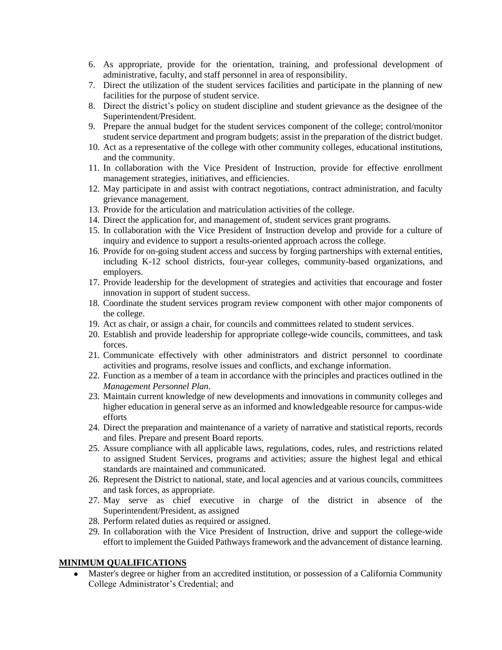- 6. As appropriate, provide for the orientation, training, and professional development of administrative, faculty, and staff personnel in area of responsibility.
- 7. Direct the utilization of the student services facilities and participate in the planning of new facilities for the purpose of student service.
- 8. Direct the district's policy on student discipline and student grievance as the designee of the Superintendent/President.
- 9. Prepare the annual budget for the student services component of the college; control/monitor student service department and program budgets; assist in the preparation of the district budget.
- 10. Act as a representative of the college with other community colleges, educational institutions, and the community.
- 11. In collaboration with the Vice President of Instruction, provide for effective enrollment management strategies, initiatives, and efficiencies.
- 12. May participate in and assist with contract negotiations, contract administration, and faculty grievance management.
- 13. Provide for the articulation and matriculation activities of the college.
- 14. Direct the application for, and management of, student services grant programs.
- 15. In collaboration with the Vice President of Instruction develop and provide for a culture of inquiry and evidence to support a results-oriented approach across the college.
- 16. Provide for on-going student access and success by forging partnerships with external entities, including K-12 school districts, four-year colleges, community-based organizations, and employers.
- 17. Provide leadership for the development of strategies and activities that encourage and foster innovation in support of student success.
- 18. Coordinate the student services program review component with other major components of the college.
- 19. Act as chair, or assign a chair, for councils and committees related to student services.
- 20. Establish and provide leadership for appropriate college-wide councils, committees, and task forces.
- 21. Communicate effectively with other administrators and district personnel to coordinate activities and programs, resolve issues and conflicts, and exchange information.
- 22. Function as a member of a team in accordance with the principles and practices outlined in the *Management Personnel Plan*.
- 23. Maintain current knowledge of new developments and innovations in community colleges and higher education in general serve as an informed and knowledgeable resource for campus-wide efforts
- 24. Direct the preparation and maintenance of a variety of narrative and statistical reports, records and files. Prepare and present Board reports.
- 25. Assure compliance with all applicable laws, regulations, codes, rules, and restrictions related to assigned Student Services, programs and activities; assure the highest legal and ethical standards are maintained and communicated.
- 26. Represent the District to national, state, and local agencies and at various councils, committees and task forces, as appropriate.
- 27. May serve as chief executive in charge of the district in absence of the Superintendent/President, as assigned
- 28. Perform related duties as required or assigned.
- 29. In collaboration with the Vice President of Instruction, drive and support the college-wide effort to implement the Guided Pathways framework and the advancement of distance learning.

### **MINIMUM QUALIFICATIONS**

 Master's degree or higher from an accredited institution, or possession of a California Community College Administrator's Credential; and